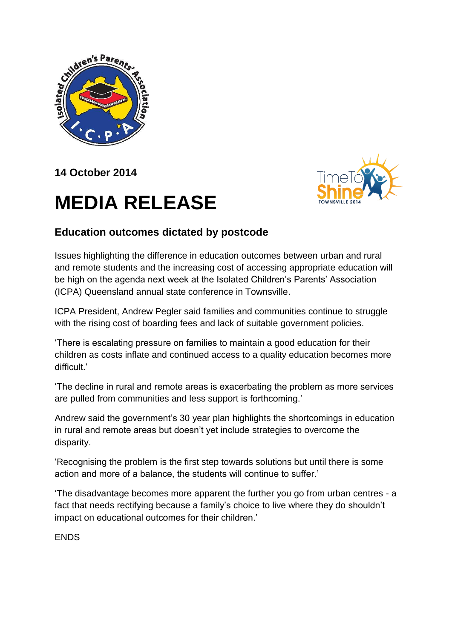

**14 October 2014**

## **MEDIA RELEASE**



## **Education outcomes dictated by postcode**

Issues highlighting the difference in education outcomes between urban and rural and remote students and the increasing cost of accessing appropriate education will be high on the agenda next week at the Isolated Children's Parents' Association (ICPA) Queensland annual state conference in Townsville.

ICPA President, Andrew Pegler said families and communities continue to struggle with the rising cost of boarding fees and lack of suitable government policies.

'There is escalating pressure on families to maintain a good education for their children as costs inflate and continued access to a quality education becomes more difficult.'

'The decline in rural and remote areas is exacerbating the problem as more services are pulled from communities and less support is forthcoming.'

Andrew said the government's 30 year plan highlights the shortcomings in education in rural and remote areas but doesn't yet include strategies to overcome the disparity.

'Recognising the problem is the first step towards solutions but until there is some action and more of a balance, the students will continue to suffer.'

'The disadvantage becomes more apparent the further you go from urban centres - a fact that needs rectifying because a family's choice to live where they do shouldn't impact on educational outcomes for their children.'

**ENDS**